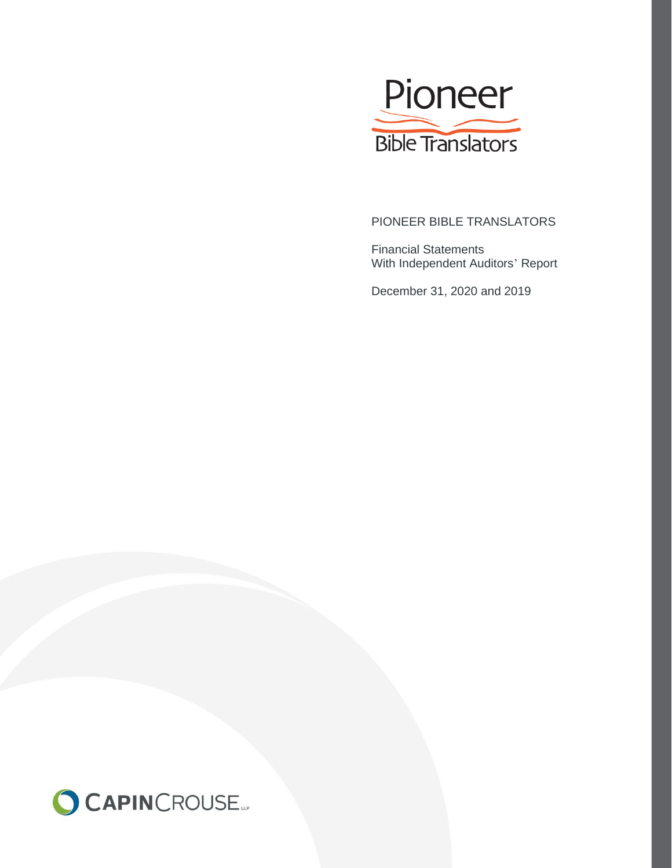

Financial Statements With Independent Auditors' Report

December 31, 2020 and 2019

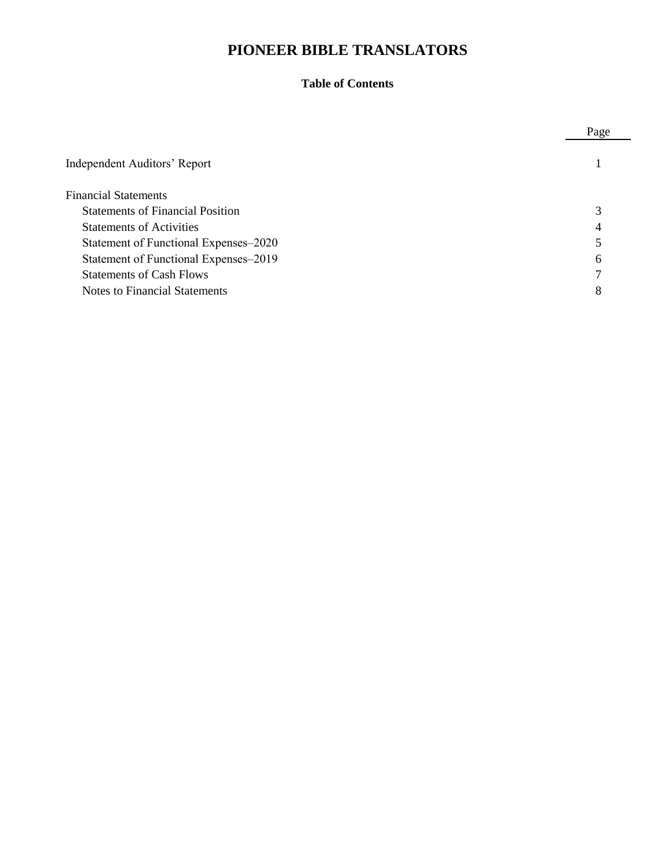# **Table of Contents**

|                                         | Page |
|-----------------------------------------|------|
| Independent Auditors' Report            |      |
| <b>Financial Statements</b>             |      |
| <b>Statements of Financial Position</b> | 3    |
| <b>Statements of Activities</b>         | 4    |
| Statement of Functional Expenses–2020   |      |
| Statement of Functional Expenses-2019   | 6    |
| <b>Statements of Cash Flows</b>         | ⇁    |
| Notes to Financial Statements           | 8    |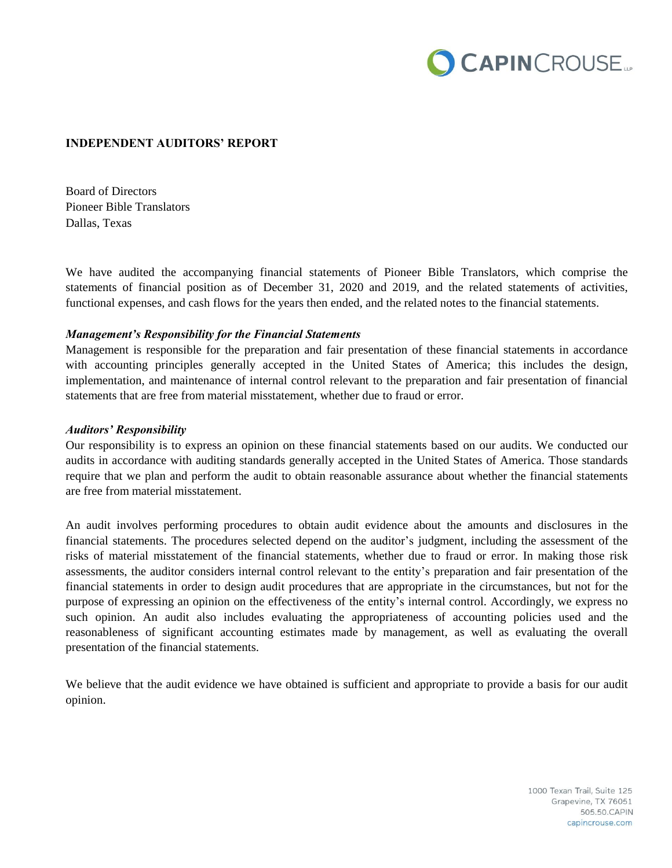

#### **INDEPENDENT AUDITORS' REPORT**

Board of Directors Pioneer Bible Translators Dallas, Texas

We have audited the accompanying financial statements of Pioneer Bible Translators, which comprise the statements of financial position as of December 31, 2020 and 2019, and the related statements of activities, functional expenses, and cash flows for the years then ended, and the related notes to the financial statements.

#### *Management's Responsibility for the Financial Statements*

Management is responsible for the preparation and fair presentation of these financial statements in accordance with accounting principles generally accepted in the United States of America; this includes the design, implementation, and maintenance of internal control relevant to the preparation and fair presentation of financial statements that are free from material misstatement, whether due to fraud or error.

#### *Auditors' Responsibility*

Our responsibility is to express an opinion on these financial statements based on our audits. We conducted our audits in accordance with auditing standards generally accepted in the United States of America. Those standards require that we plan and perform the audit to obtain reasonable assurance about whether the financial statements are free from material misstatement.

An audit involves performing procedures to obtain audit evidence about the amounts and disclosures in the financial statements. The procedures selected depend on the auditor's judgment, including the assessment of the risks of material misstatement of the financial statements, whether due to fraud or error. In making those risk assessments, the auditor considers internal control relevant to the entity's preparation and fair presentation of the financial statements in order to design audit procedures that are appropriate in the circumstances, but not for the purpose of expressing an opinion on the effectiveness of the entity's internal control. Accordingly, we express no such opinion. An audit also includes evaluating the appropriateness of accounting policies used and the reasonableness of significant accounting estimates made by management, as well as evaluating the overall presentation of the financial statements.

We believe that the audit evidence we have obtained is sufficient and appropriate to provide a basis for our audit opinion.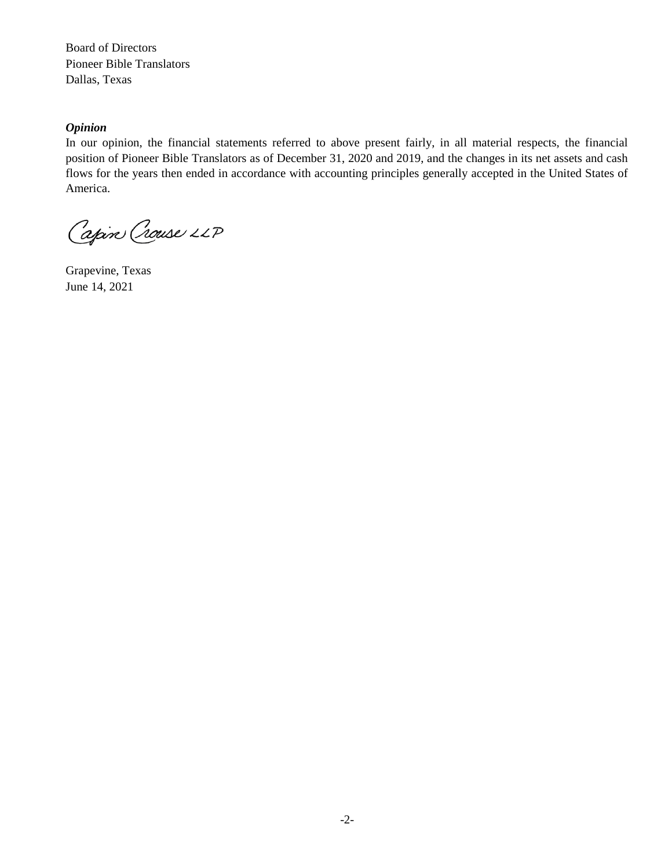Board of Directors Pioneer Bible Translators Dallas, Texas

### *Opinion*

In our opinion, the financial statements referred to above present fairly, in all material respects, the financial position of Pioneer Bible Translators as of December 31, 2020 and 2019, and the changes in its net assets and cash flows for the years then ended in accordance with accounting principles generally accepted in the United States of America.

Capin Crouse LLP

Grapevine, Texas June 14, 2021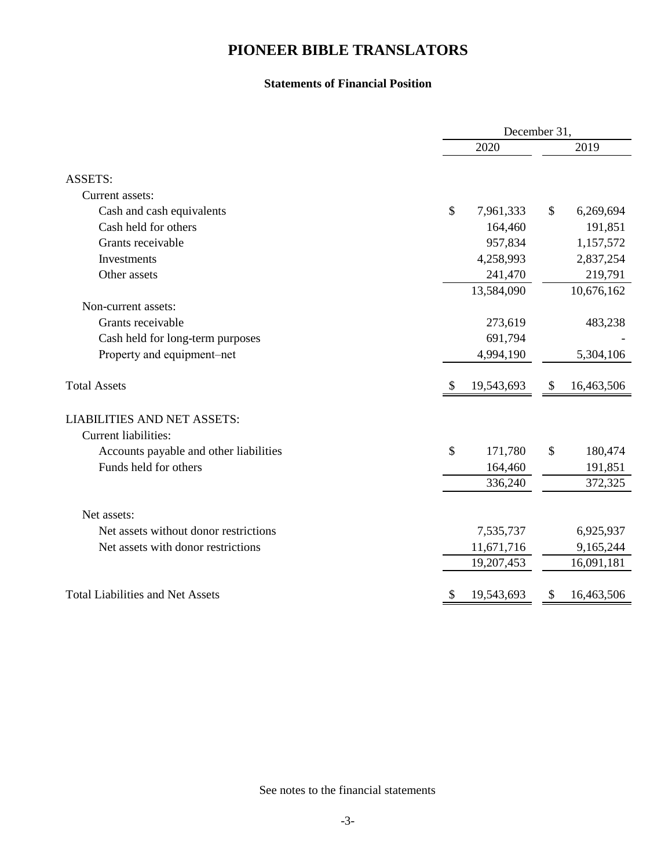## **Statements of Financial Position**

|                                         |    | December 31, |               |            |  |
|-----------------------------------------|----|--------------|---------------|------------|--|
|                                         |    | 2020         |               | 2019       |  |
| <b>ASSETS:</b>                          |    |              |               |            |  |
| Current assets:                         |    |              |               |            |  |
| Cash and cash equivalents               | \$ | 7,961,333    | $\mathcal{S}$ | 6,269,694  |  |
| Cash held for others                    |    | 164,460      |               | 191,851    |  |
| Grants receivable                       |    | 957,834      |               | 1,157,572  |  |
| Investments                             |    | 4,258,993    |               | 2,837,254  |  |
| Other assets                            |    | 241,470      |               | 219,791    |  |
|                                         |    | 13,584,090   |               | 10,676,162 |  |
| Non-current assets:                     |    |              |               |            |  |
| Grants receivable                       |    | 273,619      |               | 483,238    |  |
| Cash held for long-term purposes        |    | 691,794      |               |            |  |
| Property and equipment-net              |    | 4,994,190    |               | 5,304,106  |  |
| <b>Total Assets</b>                     | S  | 19,543,693   | \$            | 16,463,506 |  |
| <b>LIABILITIES AND NET ASSETS:</b>      |    |              |               |            |  |
| <b>Current liabilities:</b>             |    |              |               |            |  |
| Accounts payable and other liabilities  | \$ | 171,780      | \$            | 180,474    |  |
| Funds held for others                   |    | 164,460      |               | 191,851    |  |
|                                         |    | 336,240      |               | 372,325    |  |
| Net assets:                             |    |              |               |            |  |
| Net assets without donor restrictions   |    | 7,535,737    |               | 6,925,937  |  |
| Net assets with donor restrictions      |    | 11,671,716   |               | 9,165,244  |  |
|                                         |    | 19,207,453   |               | 16,091,181 |  |
| <b>Total Liabilities and Net Assets</b> | S  | 19,543,693   |               | 16,463,506 |  |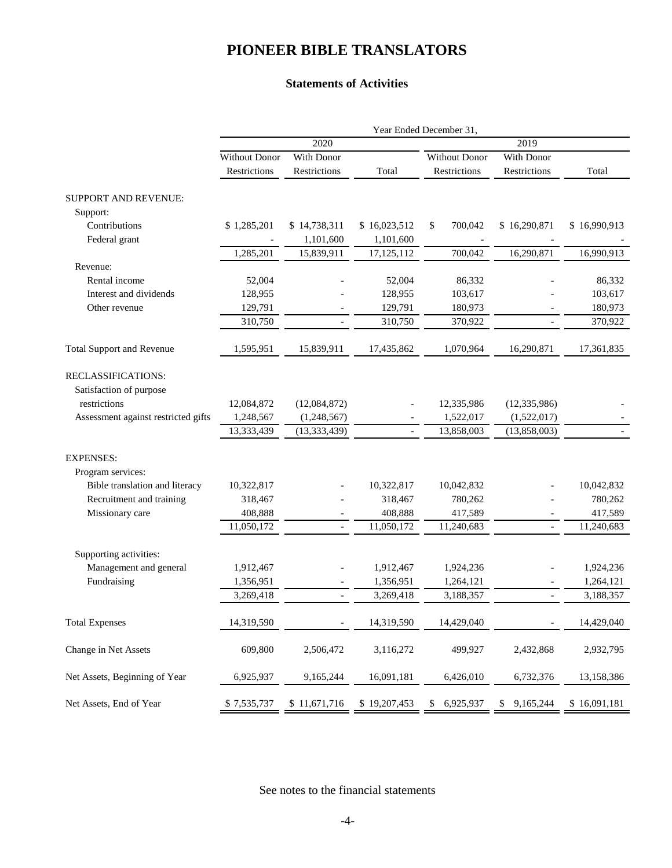## **Statements of Activities**

|                                     |                      |                          |                          | Year Ended December 31, |                          |              |
|-------------------------------------|----------------------|--------------------------|--------------------------|-------------------------|--------------------------|--------------|
|                                     |                      | 2020                     |                          |                         | 2019                     |              |
|                                     | <b>Without Donor</b> | With Donor               |                          | Without Donor           | With Donor               |              |
|                                     | Restrictions         | Restrictions             | Total                    | Restrictions            | Restrictions             | Total        |
| SUPPORT AND REVENUE:                |                      |                          |                          |                         |                          |              |
| Support:                            |                      |                          |                          |                         |                          |              |
| Contributions                       | \$1,285,201          | \$14,738,311             | \$16,023,512             | \$<br>700,042           | \$16,290,871             | \$16,990,913 |
| Federal grant                       |                      | 1,101,600                | 1,101,600                |                         |                          |              |
|                                     | 1,285,201            | 15,839,911               | 17,125,112               | 700,042                 | 16,290,871               | 16,990,913   |
| Revenue:                            |                      |                          |                          |                         |                          |              |
| Rental income                       | 52,004               |                          | 52,004                   | 86,332                  |                          | 86,332       |
| Interest and dividends              | 128,955              |                          | 128,955                  | 103,617                 |                          | 103,617      |
| Other revenue                       | 129,791              |                          | 129,791                  | 180,973                 |                          | 180,973      |
|                                     | 310,750              | $\overline{\phantom{a}}$ | 310,750                  | 370,922                 | $\overline{\phantom{a}}$ | 370,922      |
| <b>Total Support and Revenue</b>    | 1,595,951            | 15,839,911               | 17,435,862               | 1,070,964               | 16,290,871               | 17,361,835   |
| RECLASSIFICATIONS:                  |                      |                          |                          |                         |                          |              |
| Satisfaction of purpose             |                      |                          |                          |                         |                          |              |
| restrictions                        | 12,084,872           | (12,084,872)             |                          | 12,335,986              | (12, 335, 986)           |              |
| Assessment against restricted gifts | 1,248,567            | (1,248,567)              | $\overline{\phantom{a}}$ | 1,522,017               | (1,522,017)              |              |
|                                     | 13,333,439           | (13, 333, 439)           | $\overline{\phantom{a}}$ | 13,858,003              | (13,858,003)             |              |
| <b>EXPENSES:</b>                    |                      |                          |                          |                         |                          |              |
| Program services:                   |                      |                          |                          |                         |                          |              |
| Bible translation and literacy      | 10,322,817           |                          | 10,322,817               | 10,042,832              |                          | 10,042,832   |
| Recruitment and training            | 318,467              |                          | 318,467                  | 780,262                 |                          | 780,262      |
| Missionary care                     | 408,888              |                          | 408,888                  | 417,589                 |                          | 417,589      |
|                                     | 11,050,172           | $\overline{a}$           | 11,050,172               | 11,240,683              | $\overline{\phantom{a}}$ | 11,240,683   |
| Supporting activities:              |                      |                          |                          |                         |                          |              |
| Management and general              | 1,912,467            |                          | 1,912,467                | 1,924,236               |                          | 1,924,236    |
| Fundraising                         | 1,356,951            |                          | 1,356,951                | 1,264,121               |                          | 1,264,121    |
|                                     | 3,269,418            |                          | 3,269,418                | 3,188,357               | $\overline{\phantom{a}}$ | 3,188,357    |
| <b>Total Expenses</b>               | 14,319,590           |                          | 14,319,590               | 14,429,040              |                          | 14,429,040   |
| Change in Net Assets                | 609,800              | 2,506,472                | 3,116,272                | 499,927                 | 2,432,868                | 2,932,795    |
| Net Assets, Beginning of Year       | 6,925,937            | 9,165,244                | 16,091,181               | 6,426,010               | 6,732,376                | 13,158,386   |
| Net Assets, End of Year             | \$7,535,737          | \$11,671,716             | \$19,207,453             | 6,925,937<br>\$         | \$<br>9,165,244          | \$16,091,181 |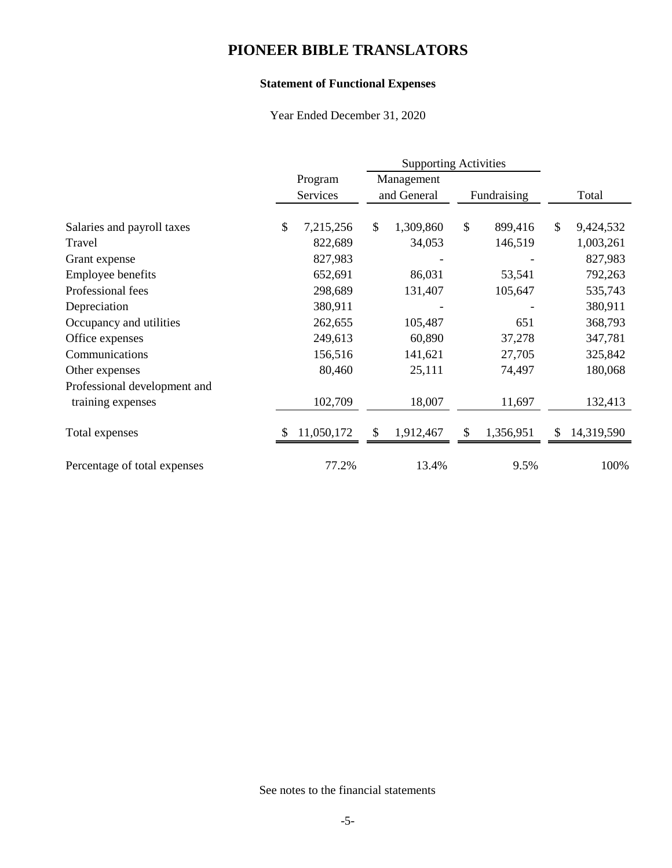# **Statement of Functional Expenses**

Year Ended December 31, 2020

|                              | <b>Supporting Activities</b> |            |    |             |                 |     |            |
|------------------------------|------------------------------|------------|----|-------------|-----------------|-----|------------|
|                              |                              | Program    |    | Management  |                 |     |            |
|                              |                              | Services   |    | and General | Fundraising     |     | Total      |
| Salaries and payroll taxes   | \$                           | 7,215,256  | \$ | 1,309,860   | \$<br>899,416   | \$  | 9,424,532  |
| Travel                       |                              | 822,689    |    | 34,053      | 146,519         |     | 1,003,261  |
| Grant expense                |                              | 827,983    |    |             |                 |     | 827,983    |
| Employee benefits            |                              | 652,691    |    | 86,031      | 53,541          |     | 792,263    |
| Professional fees            |                              | 298,689    |    | 131,407     | 105,647         |     | 535,743    |
| Depreciation                 |                              | 380,911    |    |             |                 |     | 380,911    |
| Occupancy and utilities      |                              | 262,655    |    | 105,487     | 651             |     | 368,793    |
| Office expenses              |                              | 249,613    |    | 60,890      | 37,278          |     | 347,781    |
| Communications               |                              | 156,516    |    | 141,621     | 27,705          |     | 325,842    |
| Other expenses               |                              | 80,460     |    | 25,111      | 74,497          |     | 180,068    |
| Professional development and |                              |            |    |             |                 |     |            |
| training expenses            |                              | 102,709    |    | 18,007      | 11,697          |     | 132,413    |
| Total expenses               |                              | 11,050,172 | S  | 1,912,467   | \$<br>1,356,951 | \$. | 14,319,590 |
| Percentage of total expenses |                              | 77.2%      |    | 13.4%       | 9.5%            |     | 100%       |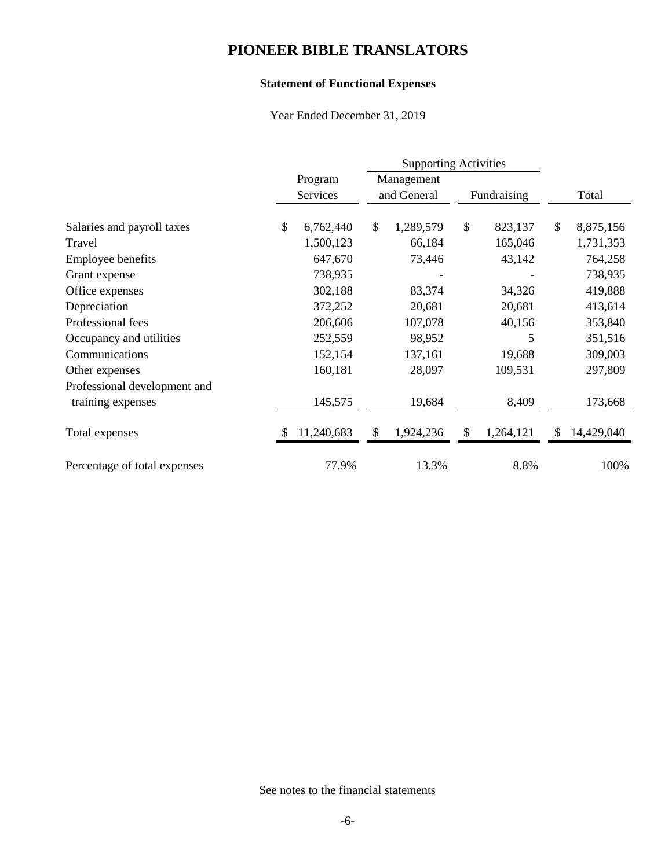# **Statement of Functional Expenses**

Year Ended December 31, 2019

|                              | <b>Supporting Activities</b> |            |    |             |               |             |    |            |
|------------------------------|------------------------------|------------|----|-------------|---------------|-------------|----|------------|
|                              |                              | Program    |    | Management  |               |             |    |            |
|                              |                              | Services   |    | and General |               | Fundraising |    | Total      |
| Salaries and payroll taxes   | \$                           | 6,762,440  | \$ | 1,289,579   | $\mathcal{S}$ | 823,137     | \$ | 8,875,156  |
| Travel                       |                              | 1,500,123  |    | 66,184      |               | 165,046     |    | 1,731,353  |
| Employee benefits            |                              | 647,670    |    | 73,446      |               | 43,142      |    | 764,258    |
| Grant expense                |                              | 738,935    |    |             |               |             |    | 738,935    |
| Office expenses              |                              | 302,188    |    | 83,374      |               | 34,326      |    | 419,888    |
| Depreciation                 |                              | 372,252    |    | 20,681      |               | 20,681      |    | 413,614    |
| Professional fees            |                              | 206,606    |    | 107,078     |               | 40,156      |    | 353,840    |
| Occupancy and utilities      |                              | 252,559    |    | 98,952      |               | 5           |    | 351,516    |
| Communications               |                              | 152,154    |    | 137,161     |               | 19,688      |    | 309,003    |
| Other expenses               |                              | 160,181    |    | 28,097      |               | 109,531     |    | 297,809    |
| Professional development and |                              |            |    |             |               |             |    |            |
| training expenses            |                              | 145,575    |    | 19,684      |               | 8,409       |    | 173,668    |
| Total expenses               |                              | 11,240,683 | S  | 1,924,236   | S             | 1,264,121   | S  | 14,429,040 |
| Percentage of total expenses |                              | 77.9%      |    | 13.3%       |               | 8.8%        |    | 100%       |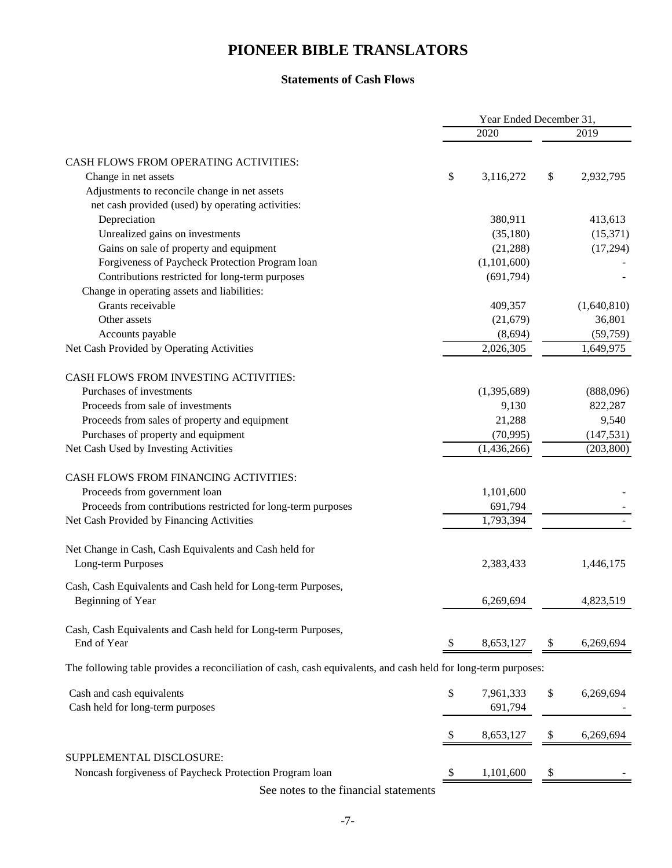# **Statements of Cash Flows**

| 2020<br>2019<br>CASH FLOWS FROM OPERATING ACTIVITIES:<br>\$<br>\$<br>Change in net assets<br>3,116,272<br>2,932,795<br>Adjustments to reconcile change in net assets<br>net cash provided (used) by operating activities:<br>Depreciation<br>380,911<br>413,613<br>Unrealized gains on investments<br>(35,180)<br>(15,371)<br>Gains on sale of property and equipment<br>(21, 288)<br>(17,294)<br>Forgiveness of Paycheck Protection Program loan<br>(1,101,600)<br>Contributions restricted for long-term purposes<br>(691,794)<br>Change in operating assets and liabilities:<br>Grants receivable<br>409,357<br>(1,640,810)<br>36,801<br>Other assets<br>(21,679)<br>Accounts payable<br>(8,694)<br>(59, 759)<br>Net Cash Provided by Operating Activities<br>2,026,305<br>1,649,975<br>CASH FLOWS FROM INVESTING ACTIVITIES:<br>Purchases of investments<br>(1,395,689)<br>(888,096)<br>Proceeds from sale of investments<br>9,130<br>822,287<br>Proceeds from sales of property and equipment<br>21,288<br>9,540<br>Purchases of property and equipment<br>(147, 531)<br>(70, 995)<br>Net Cash Used by Investing Activities<br>(1,436,266)<br>(203, 800)<br>CASH FLOWS FROM FINANCING ACTIVITIES:<br>1,101,600<br>Proceeds from government loan<br>Proceeds from contributions restricted for long-term purposes<br>691,794<br>Net Cash Provided by Financing Activities<br>1,793,394<br>Net Change in Cash, Cash Equivalents and Cash held for<br>Long-term Purposes<br>2,383,433<br>1,446,175<br>Cash, Cash Equivalents and Cash held for Long-term Purposes,<br>6,269,694<br>4,823,519<br>Beginning of Year<br>Cash, Cash Equivalents and Cash held for Long-term Purposes,<br>End of Year<br>8,653,127<br>6,269,694<br>\$<br>\$<br>The following table provides a reconciliation of cash, cash equivalents, and cash held for long-term purposes:<br>\$<br>Cash and cash equivalents<br>7,961,333<br>\$<br>6,269,694<br>Cash held for long-term purposes<br>691,794<br>\$<br>8,653,127<br>\$<br>6,269,694<br>SUPPLEMENTAL DISCLOSURE: | Year Ended December 31, |  |  |  |
|------------------------------------------------------------------------------------------------------------------------------------------------------------------------------------------------------------------------------------------------------------------------------------------------------------------------------------------------------------------------------------------------------------------------------------------------------------------------------------------------------------------------------------------------------------------------------------------------------------------------------------------------------------------------------------------------------------------------------------------------------------------------------------------------------------------------------------------------------------------------------------------------------------------------------------------------------------------------------------------------------------------------------------------------------------------------------------------------------------------------------------------------------------------------------------------------------------------------------------------------------------------------------------------------------------------------------------------------------------------------------------------------------------------------------------------------------------------------------------------------------------------------------------------------------------------------------------------------------------------------------------------------------------------------------------------------------------------------------------------------------------------------------------------------------------------------------------------------------------------------------------------------------------------------------------------------------------------------------------------------------------------------------------------------|-------------------------|--|--|--|
|                                                                                                                                                                                                                                                                                                                                                                                                                                                                                                                                                                                                                                                                                                                                                                                                                                                                                                                                                                                                                                                                                                                                                                                                                                                                                                                                                                                                                                                                                                                                                                                                                                                                                                                                                                                                                                                                                                                                                                                                                                                |                         |  |  |  |
|                                                                                                                                                                                                                                                                                                                                                                                                                                                                                                                                                                                                                                                                                                                                                                                                                                                                                                                                                                                                                                                                                                                                                                                                                                                                                                                                                                                                                                                                                                                                                                                                                                                                                                                                                                                                                                                                                                                                                                                                                                                |                         |  |  |  |
|                                                                                                                                                                                                                                                                                                                                                                                                                                                                                                                                                                                                                                                                                                                                                                                                                                                                                                                                                                                                                                                                                                                                                                                                                                                                                                                                                                                                                                                                                                                                                                                                                                                                                                                                                                                                                                                                                                                                                                                                                                                |                         |  |  |  |
|                                                                                                                                                                                                                                                                                                                                                                                                                                                                                                                                                                                                                                                                                                                                                                                                                                                                                                                                                                                                                                                                                                                                                                                                                                                                                                                                                                                                                                                                                                                                                                                                                                                                                                                                                                                                                                                                                                                                                                                                                                                |                         |  |  |  |
|                                                                                                                                                                                                                                                                                                                                                                                                                                                                                                                                                                                                                                                                                                                                                                                                                                                                                                                                                                                                                                                                                                                                                                                                                                                                                                                                                                                                                                                                                                                                                                                                                                                                                                                                                                                                                                                                                                                                                                                                                                                |                         |  |  |  |
|                                                                                                                                                                                                                                                                                                                                                                                                                                                                                                                                                                                                                                                                                                                                                                                                                                                                                                                                                                                                                                                                                                                                                                                                                                                                                                                                                                                                                                                                                                                                                                                                                                                                                                                                                                                                                                                                                                                                                                                                                                                |                         |  |  |  |
|                                                                                                                                                                                                                                                                                                                                                                                                                                                                                                                                                                                                                                                                                                                                                                                                                                                                                                                                                                                                                                                                                                                                                                                                                                                                                                                                                                                                                                                                                                                                                                                                                                                                                                                                                                                                                                                                                                                                                                                                                                                |                         |  |  |  |
|                                                                                                                                                                                                                                                                                                                                                                                                                                                                                                                                                                                                                                                                                                                                                                                                                                                                                                                                                                                                                                                                                                                                                                                                                                                                                                                                                                                                                                                                                                                                                                                                                                                                                                                                                                                                                                                                                                                                                                                                                                                |                         |  |  |  |
|                                                                                                                                                                                                                                                                                                                                                                                                                                                                                                                                                                                                                                                                                                                                                                                                                                                                                                                                                                                                                                                                                                                                                                                                                                                                                                                                                                                                                                                                                                                                                                                                                                                                                                                                                                                                                                                                                                                                                                                                                                                |                         |  |  |  |
|                                                                                                                                                                                                                                                                                                                                                                                                                                                                                                                                                                                                                                                                                                                                                                                                                                                                                                                                                                                                                                                                                                                                                                                                                                                                                                                                                                                                                                                                                                                                                                                                                                                                                                                                                                                                                                                                                                                                                                                                                                                |                         |  |  |  |
|                                                                                                                                                                                                                                                                                                                                                                                                                                                                                                                                                                                                                                                                                                                                                                                                                                                                                                                                                                                                                                                                                                                                                                                                                                                                                                                                                                                                                                                                                                                                                                                                                                                                                                                                                                                                                                                                                                                                                                                                                                                |                         |  |  |  |
|                                                                                                                                                                                                                                                                                                                                                                                                                                                                                                                                                                                                                                                                                                                                                                                                                                                                                                                                                                                                                                                                                                                                                                                                                                                                                                                                                                                                                                                                                                                                                                                                                                                                                                                                                                                                                                                                                                                                                                                                                                                |                         |  |  |  |
|                                                                                                                                                                                                                                                                                                                                                                                                                                                                                                                                                                                                                                                                                                                                                                                                                                                                                                                                                                                                                                                                                                                                                                                                                                                                                                                                                                                                                                                                                                                                                                                                                                                                                                                                                                                                                                                                                                                                                                                                                                                |                         |  |  |  |
|                                                                                                                                                                                                                                                                                                                                                                                                                                                                                                                                                                                                                                                                                                                                                                                                                                                                                                                                                                                                                                                                                                                                                                                                                                                                                                                                                                                                                                                                                                                                                                                                                                                                                                                                                                                                                                                                                                                                                                                                                                                |                         |  |  |  |
|                                                                                                                                                                                                                                                                                                                                                                                                                                                                                                                                                                                                                                                                                                                                                                                                                                                                                                                                                                                                                                                                                                                                                                                                                                                                                                                                                                                                                                                                                                                                                                                                                                                                                                                                                                                                                                                                                                                                                                                                                                                |                         |  |  |  |
|                                                                                                                                                                                                                                                                                                                                                                                                                                                                                                                                                                                                                                                                                                                                                                                                                                                                                                                                                                                                                                                                                                                                                                                                                                                                                                                                                                                                                                                                                                                                                                                                                                                                                                                                                                                                                                                                                                                                                                                                                                                |                         |  |  |  |
|                                                                                                                                                                                                                                                                                                                                                                                                                                                                                                                                                                                                                                                                                                                                                                                                                                                                                                                                                                                                                                                                                                                                                                                                                                                                                                                                                                                                                                                                                                                                                                                                                                                                                                                                                                                                                                                                                                                                                                                                                                                |                         |  |  |  |
|                                                                                                                                                                                                                                                                                                                                                                                                                                                                                                                                                                                                                                                                                                                                                                                                                                                                                                                                                                                                                                                                                                                                                                                                                                                                                                                                                                                                                                                                                                                                                                                                                                                                                                                                                                                                                                                                                                                                                                                                                                                |                         |  |  |  |
|                                                                                                                                                                                                                                                                                                                                                                                                                                                                                                                                                                                                                                                                                                                                                                                                                                                                                                                                                                                                                                                                                                                                                                                                                                                                                                                                                                                                                                                                                                                                                                                                                                                                                                                                                                                                                                                                                                                                                                                                                                                |                         |  |  |  |
|                                                                                                                                                                                                                                                                                                                                                                                                                                                                                                                                                                                                                                                                                                                                                                                                                                                                                                                                                                                                                                                                                                                                                                                                                                                                                                                                                                                                                                                                                                                                                                                                                                                                                                                                                                                                                                                                                                                                                                                                                                                |                         |  |  |  |
|                                                                                                                                                                                                                                                                                                                                                                                                                                                                                                                                                                                                                                                                                                                                                                                                                                                                                                                                                                                                                                                                                                                                                                                                                                                                                                                                                                                                                                                                                                                                                                                                                                                                                                                                                                                                                                                                                                                                                                                                                                                |                         |  |  |  |
|                                                                                                                                                                                                                                                                                                                                                                                                                                                                                                                                                                                                                                                                                                                                                                                                                                                                                                                                                                                                                                                                                                                                                                                                                                                                                                                                                                                                                                                                                                                                                                                                                                                                                                                                                                                                                                                                                                                                                                                                                                                |                         |  |  |  |
|                                                                                                                                                                                                                                                                                                                                                                                                                                                                                                                                                                                                                                                                                                                                                                                                                                                                                                                                                                                                                                                                                                                                                                                                                                                                                                                                                                                                                                                                                                                                                                                                                                                                                                                                                                                                                                                                                                                                                                                                                                                |                         |  |  |  |
|                                                                                                                                                                                                                                                                                                                                                                                                                                                                                                                                                                                                                                                                                                                                                                                                                                                                                                                                                                                                                                                                                                                                                                                                                                                                                                                                                                                                                                                                                                                                                                                                                                                                                                                                                                                                                                                                                                                                                                                                                                                |                         |  |  |  |
|                                                                                                                                                                                                                                                                                                                                                                                                                                                                                                                                                                                                                                                                                                                                                                                                                                                                                                                                                                                                                                                                                                                                                                                                                                                                                                                                                                                                                                                                                                                                                                                                                                                                                                                                                                                                                                                                                                                                                                                                                                                |                         |  |  |  |
|                                                                                                                                                                                                                                                                                                                                                                                                                                                                                                                                                                                                                                                                                                                                                                                                                                                                                                                                                                                                                                                                                                                                                                                                                                                                                                                                                                                                                                                                                                                                                                                                                                                                                                                                                                                                                                                                                                                                                                                                                                                |                         |  |  |  |
|                                                                                                                                                                                                                                                                                                                                                                                                                                                                                                                                                                                                                                                                                                                                                                                                                                                                                                                                                                                                                                                                                                                                                                                                                                                                                                                                                                                                                                                                                                                                                                                                                                                                                                                                                                                                                                                                                                                                                                                                                                                |                         |  |  |  |
|                                                                                                                                                                                                                                                                                                                                                                                                                                                                                                                                                                                                                                                                                                                                                                                                                                                                                                                                                                                                                                                                                                                                                                                                                                                                                                                                                                                                                                                                                                                                                                                                                                                                                                                                                                                                                                                                                                                                                                                                                                                |                         |  |  |  |
|                                                                                                                                                                                                                                                                                                                                                                                                                                                                                                                                                                                                                                                                                                                                                                                                                                                                                                                                                                                                                                                                                                                                                                                                                                                                                                                                                                                                                                                                                                                                                                                                                                                                                                                                                                                                                                                                                                                                                                                                                                                |                         |  |  |  |
|                                                                                                                                                                                                                                                                                                                                                                                                                                                                                                                                                                                                                                                                                                                                                                                                                                                                                                                                                                                                                                                                                                                                                                                                                                                                                                                                                                                                                                                                                                                                                                                                                                                                                                                                                                                                                                                                                                                                                                                                                                                |                         |  |  |  |
|                                                                                                                                                                                                                                                                                                                                                                                                                                                                                                                                                                                                                                                                                                                                                                                                                                                                                                                                                                                                                                                                                                                                                                                                                                                                                                                                                                                                                                                                                                                                                                                                                                                                                                                                                                                                                                                                                                                                                                                                                                                |                         |  |  |  |
|                                                                                                                                                                                                                                                                                                                                                                                                                                                                                                                                                                                                                                                                                                                                                                                                                                                                                                                                                                                                                                                                                                                                                                                                                                                                                                                                                                                                                                                                                                                                                                                                                                                                                                                                                                                                                                                                                                                                                                                                                                                |                         |  |  |  |
|                                                                                                                                                                                                                                                                                                                                                                                                                                                                                                                                                                                                                                                                                                                                                                                                                                                                                                                                                                                                                                                                                                                                                                                                                                                                                                                                                                                                                                                                                                                                                                                                                                                                                                                                                                                                                                                                                                                                                                                                                                                |                         |  |  |  |
|                                                                                                                                                                                                                                                                                                                                                                                                                                                                                                                                                                                                                                                                                                                                                                                                                                                                                                                                                                                                                                                                                                                                                                                                                                                                                                                                                                                                                                                                                                                                                                                                                                                                                                                                                                                                                                                                                                                                                                                                                                                |                         |  |  |  |
|                                                                                                                                                                                                                                                                                                                                                                                                                                                                                                                                                                                                                                                                                                                                                                                                                                                                                                                                                                                                                                                                                                                                                                                                                                                                                                                                                                                                                                                                                                                                                                                                                                                                                                                                                                                                                                                                                                                                                                                                                                                |                         |  |  |  |
|                                                                                                                                                                                                                                                                                                                                                                                                                                                                                                                                                                                                                                                                                                                                                                                                                                                                                                                                                                                                                                                                                                                                                                                                                                                                                                                                                                                                                                                                                                                                                                                                                                                                                                                                                                                                                                                                                                                                                                                                                                                |                         |  |  |  |
|                                                                                                                                                                                                                                                                                                                                                                                                                                                                                                                                                                                                                                                                                                                                                                                                                                                                                                                                                                                                                                                                                                                                                                                                                                                                                                                                                                                                                                                                                                                                                                                                                                                                                                                                                                                                                                                                                                                                                                                                                                                |                         |  |  |  |
|                                                                                                                                                                                                                                                                                                                                                                                                                                                                                                                                                                                                                                                                                                                                                                                                                                                                                                                                                                                                                                                                                                                                                                                                                                                                                                                                                                                                                                                                                                                                                                                                                                                                                                                                                                                                                                                                                                                                                                                                                                                |                         |  |  |  |
|                                                                                                                                                                                                                                                                                                                                                                                                                                                                                                                                                                                                                                                                                                                                                                                                                                                                                                                                                                                                                                                                                                                                                                                                                                                                                                                                                                                                                                                                                                                                                                                                                                                                                                                                                                                                                                                                                                                                                                                                                                                |                         |  |  |  |
|                                                                                                                                                                                                                                                                                                                                                                                                                                                                                                                                                                                                                                                                                                                                                                                                                                                                                                                                                                                                                                                                                                                                                                                                                                                                                                                                                                                                                                                                                                                                                                                                                                                                                                                                                                                                                                                                                                                                                                                                                                                |                         |  |  |  |
| Noncash forgiveness of Paycheck Protection Program loan<br>1,101,600<br>\$<br>\$                                                                                                                                                                                                                                                                                                                                                                                                                                                                                                                                                                                                                                                                                                                                                                                                                                                                                                                                                                                                                                                                                                                                                                                                                                                                                                                                                                                                                                                                                                                                                                                                                                                                                                                                                                                                                                                                                                                                                               |                         |  |  |  |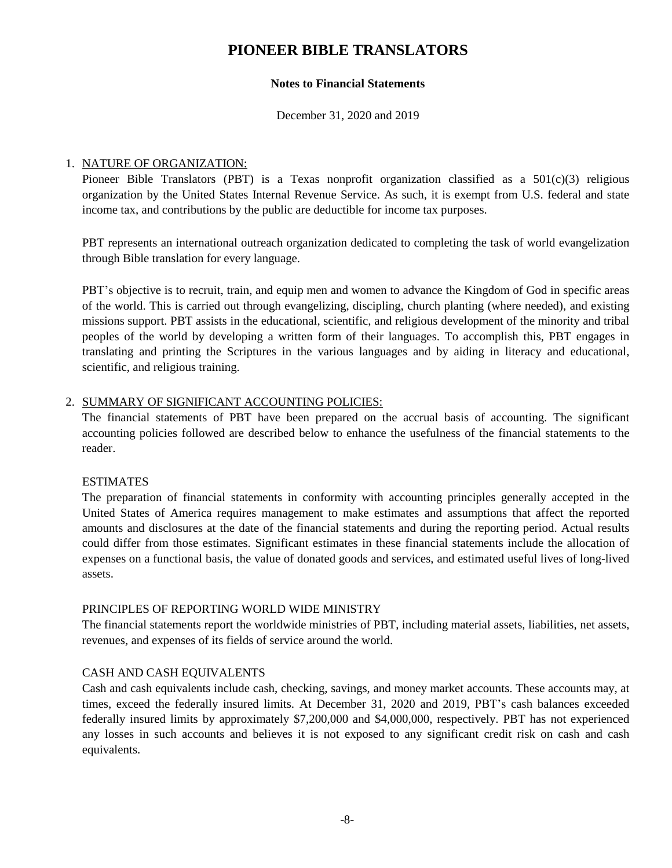### **Notes to Financial Statements**

December 31, 2020 and 2019

### 1. NATURE OF ORGANIZATION:

Pioneer Bible Translators (PBT) is a Texas nonprofit organization classified as a  $501(c)(3)$  religious organization by the United States Internal Revenue Service. As such, it is exempt from U.S. federal and state income tax, and contributions by the public are deductible for income tax purposes.

PBT represents an international outreach organization dedicated to completing the task of world evangelization through Bible translation for every language.

PBT's objective is to recruit, train, and equip men and women to advance the Kingdom of God in specific areas of the world. This is carried out through evangelizing, discipling, church planting (where needed), and existing missions support. PBT assists in the educational, scientific, and religious development of the minority and tribal peoples of the world by developing a written form of their languages. To accomplish this, PBT engages in translating and printing the Scriptures in the various languages and by aiding in literacy and educational, scientific, and religious training.

### 2. SUMMARY OF SIGNIFICANT ACCOUNTING POLICIES:

The financial statements of PBT have been prepared on the accrual basis of accounting. The significant accounting policies followed are described below to enhance the usefulness of the financial statements to the reader.

#### ESTIMATES

The preparation of financial statements in conformity with accounting principles generally accepted in the United States of America requires management to make estimates and assumptions that affect the reported amounts and disclosures at the date of the financial statements and during the reporting period. Actual results could differ from those estimates. Significant estimates in these financial statements include the allocation of expenses on a functional basis, the value of donated goods and services, and estimated useful lives of long-lived assets.

## PRINCIPLES OF REPORTING WORLD WIDE MINISTRY

The financial statements report the worldwide ministries of PBT, including material assets, liabilities, net assets, revenues, and expenses of its fields of service around the world.

## CASH AND CASH EQUIVALENTS

Cash and cash equivalents include cash, checking, savings, and money market accounts. These accounts may, at times, exceed the federally insured limits. At December 31, 2020 and 2019, PBT's cash balances exceeded federally insured limits by approximately \$7,200,000 and \$4,000,000, respectively. PBT has not experienced any losses in such accounts and believes it is not exposed to any significant credit risk on cash and cash equivalents.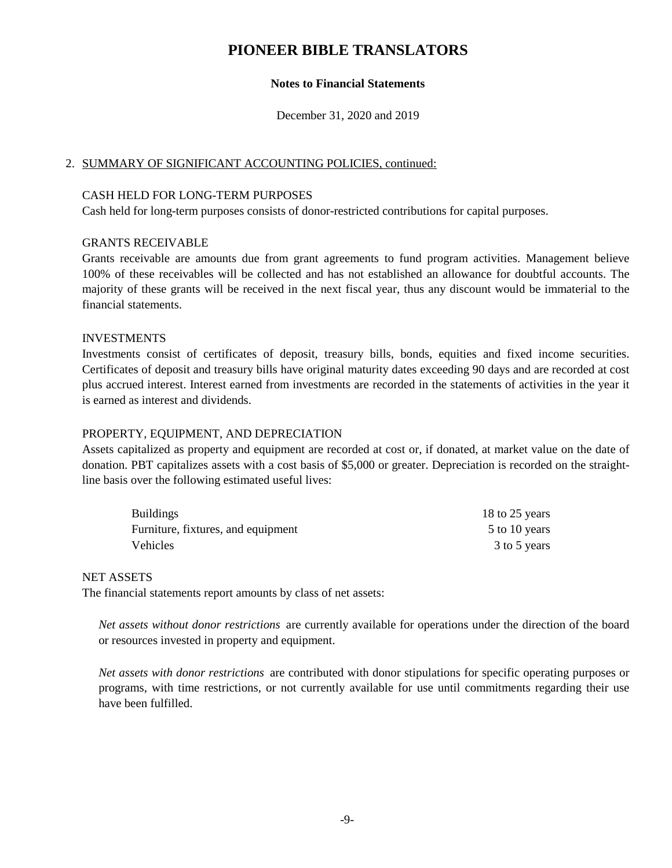### **Notes to Financial Statements**

December 31, 2020 and 2019

### 2. SUMMARY OF SIGNIFICANT ACCOUNTING POLICIES, continued:

### CASH HELD FOR LONG-TERM PURPOSES

Cash held for long-term purposes consists of donor-restricted contributions for capital purposes.

### GRANTS RECEIVABLE

Grants receivable are amounts due from grant agreements to fund program activities. Management believe 100% of these receivables will be collected and has not established an allowance for doubtful accounts. The majority of these grants will be received in the next fiscal year, thus any discount would be immaterial to the financial statements.

### INVESTMENTS

Investments consist of certificates of deposit, treasury bills, bonds, equities and fixed income securities. Certificates of deposit and treasury bills have original maturity dates exceeding 90 days and are recorded at cost plus accrued interest. Interest earned from investments are recorded in the statements of activities in the year it is earned as interest and dividends.

### PROPERTY, EQUIPMENT, AND DEPRECIATION

Assets capitalized as property and equipment are recorded at cost or, if donated, at market value on the date of donation. PBT capitalizes assets with a cost basis of \$5,000 or greater. Depreciation is recorded on the straightline basis over the following estimated useful lives:

| <b>Buildings</b>                   | 18 to 25 years |
|------------------------------------|----------------|
| Furniture, fixtures, and equipment | 5 to 10 years  |
| Vehicles                           | 3 to 5 years   |

#### NET ASSETS

The financial statements report amounts by class of net assets:

*Net assets without donor restrictions* are currently available for operations under the direction of the board or resources invested in property and equipment.

*Net assets with donor restrictions* are contributed with donor stipulations for specific operating purposes or programs, with time restrictions, or not currently available for use until commitments regarding their use have been fulfilled.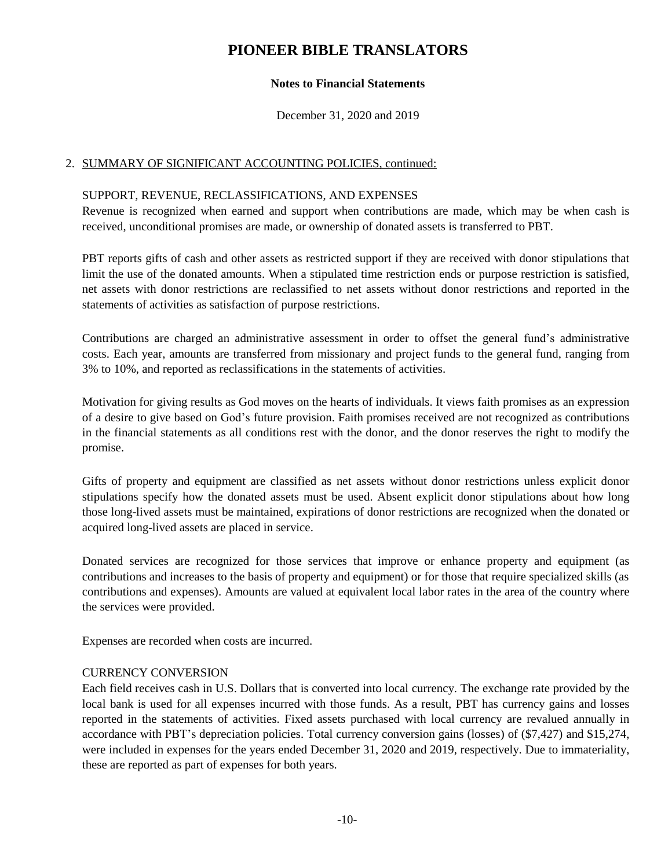## **Notes to Financial Statements**

December 31, 2020 and 2019

## 2. SUMMARY OF SIGNIFICANT ACCOUNTING POLICIES, continued:

### SUPPORT, REVENUE, RECLASSIFICATIONS, AND EXPENSES

Revenue is recognized when earned and support when contributions are made, which may be when cash is received, unconditional promises are made, or ownership of donated assets is transferred to PBT.

PBT reports gifts of cash and other assets as restricted support if they are received with donor stipulations that limit the use of the donated amounts. When a stipulated time restriction ends or purpose restriction is satisfied, net assets with donor restrictions are reclassified to net assets without donor restrictions and reported in the statements of activities as satisfaction of purpose restrictions.

Contributions are charged an administrative assessment in order to offset the general fund's administrative costs. Each year, amounts are transferred from missionary and project funds to the general fund, ranging from 3% to 10%, and reported as reclassifications in the statements of activities.

Motivation for giving results as God moves on the hearts of individuals. It views faith promises as an expression of a desire to give based on God's future provision. Faith promises received are not recognized as contributions in the financial statements as all conditions rest with the donor, and the donor reserves the right to modify the promise.

Gifts of property and equipment are classified as net assets without donor restrictions unless explicit donor stipulations specify how the donated assets must be used. Absent explicit donor stipulations about how long those long-lived assets must be maintained, expirations of donor restrictions are recognized when the donated or acquired long-lived assets are placed in service.

Donated services are recognized for those services that improve or enhance property and equipment (as contributions and increases to the basis of property and equipment) or for those that require specialized skills (as contributions and expenses). Amounts are valued at equivalent local labor rates in the area of the country where the services were provided.

Expenses are recorded when costs are incurred.

#### CURRENCY CONVERSION

Each field receives cash in U.S. Dollars that is converted into local currency. The exchange rate provided by the local bank is used for all expenses incurred with those funds. As a result, PBT has currency gains and losses reported in the statements of activities. Fixed assets purchased with local currency are revalued annually in accordance with PBT's depreciation policies. Total currency conversion gains (losses) of (\$7,427) and \$15,274, were included in expenses for the years ended December 31, 2020 and 2019, respectively. Due to immateriality, these are reported as part of expenses for both years.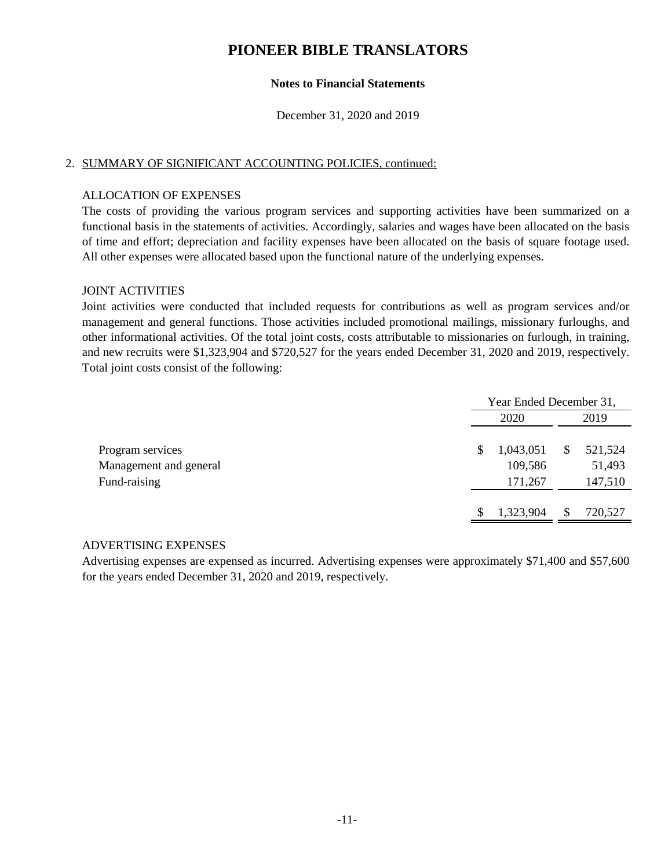### **Notes to Financial Statements**

December 31, 2020 and 2019

### 2. SUMMARY OF SIGNIFICANT ACCOUNTING POLICIES, continued:

### ALLOCATION OF EXPENSES

The costs of providing the various program services and supporting activities have been summarized on a functional basis in the statements of activities. Accordingly, salaries and wages have been allocated on the basis of time and effort; depreciation and facility expenses have been allocated on the basis of square footage used. All other expenses were allocated based upon the functional nature of the underlying expenses.

#### JOINT ACTIVITIES

Joint activities were conducted that included requests for contributions as well as program services and/or management and general functions. Those activities included promotional mailings, missionary furloughs, and other informational activities. Of the total joint costs, costs attributable to missionaries on furlough, in training, and new recruits were \$1,323,904 and \$720,527 for the years ended December 31, 2020 and 2019, respectively. Total joint costs consist of the following:

|                                                            | Year Ended December 31,              |                                   |  |  |
|------------------------------------------------------------|--------------------------------------|-----------------------------------|--|--|
|                                                            | 2020                                 | 2019                              |  |  |
| Program services<br>Management and general<br>Fund-raising | 1,043,051<br>S<br>109,586<br>171,267 | 521,524<br>Ж<br>51,493<br>147,510 |  |  |
|                                                            | 1,323,904                            | 720,527                           |  |  |

#### ADVERTISING EXPENSES

Advertising expenses are expensed as incurred. Advertising expenses were approximately \$71,400 and \$57,600 for the years ended December 31, 2020 and 2019, respectively.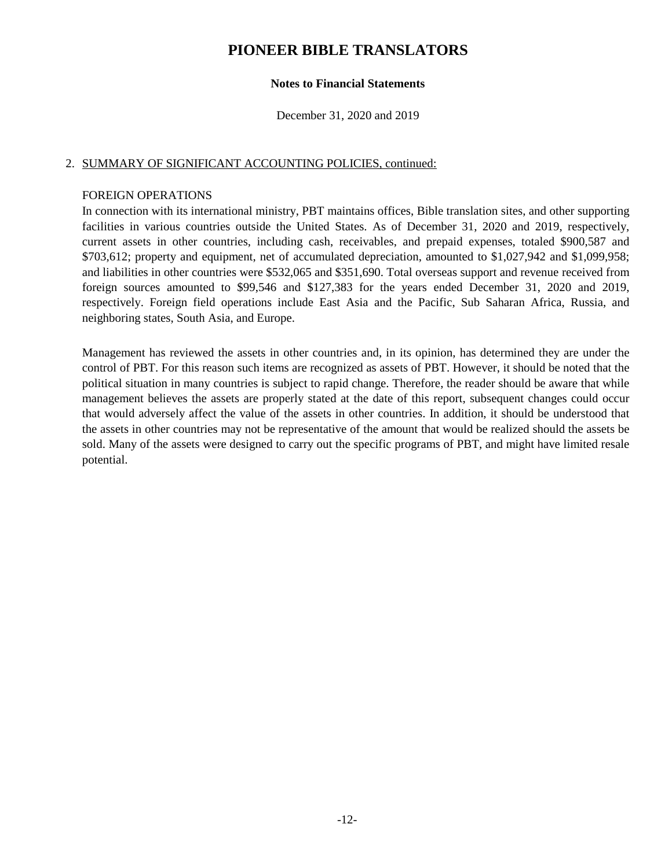### **Notes to Financial Statements**

December 31, 2020 and 2019

### 2. SUMMARY OF SIGNIFICANT ACCOUNTING POLICIES, continued:

### FOREIGN OPERATIONS

In connection with its international ministry, PBT maintains offices, Bible translation sites, and other supporting facilities in various countries outside the United States. As of December 31, 2020 and 2019, respectively, current assets in other countries, including cash, receivables, and prepaid expenses, totaled \$900,587 and \$703,612; property and equipment, net of accumulated depreciation, amounted to \$1,027,942 and \$1,099,958; and liabilities in other countries were \$532,065 and \$351,690. Total overseas support and revenue received from foreign sources amounted to \$99,546 and \$127,383 for the years ended December 31, 2020 and 2019, respectively. Foreign field operations include East Asia and the Pacific, Sub Saharan Africa, Russia, and neighboring states, South Asia, and Europe.

Management has reviewed the assets in other countries and, in its opinion, has determined they are under the control of PBT. For this reason such items are recognized as assets of PBT. However, it should be noted that the political situation in many countries is subject to rapid change. Therefore, the reader should be aware that while management believes the assets are properly stated at the date of this report, subsequent changes could occur that would adversely affect the value of the assets in other countries. In addition, it should be understood that the assets in other countries may not be representative of the amount that would be realized should the assets be sold. Many of the assets were designed to carry out the specific programs of PBT, and might have limited resale potential.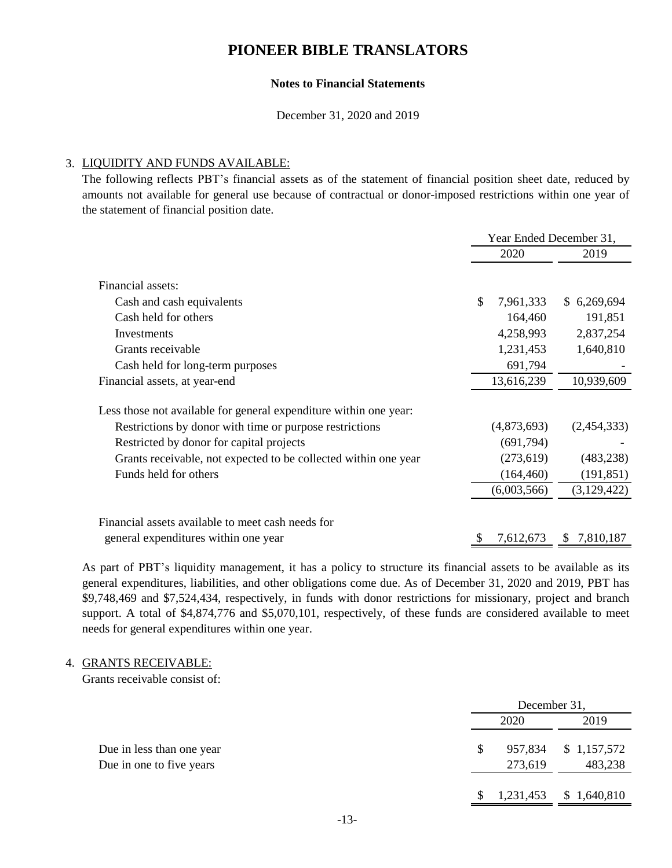### **Notes to Financial Statements**

December 31, 2020 and 2019

### 3. LIQUIDITY AND FUNDS AVAILABLE:

The following reflects PBT's financial assets as of the statement of financial position sheet date, reduced by amounts not available for general use because of contractual or donor-imposed restrictions within one year of the statement of financial position date.

|                                                                   | Year Ended December 31, |              |  |
|-------------------------------------------------------------------|-------------------------|--------------|--|
|                                                                   | 2020                    | 2019         |  |
|                                                                   |                         |              |  |
| Financial assets:                                                 |                         |              |  |
| Cash and cash equivalents                                         | \$<br>7,961,333         | \$6,269,694  |  |
| Cash held for others                                              | 164,460                 | 191,851      |  |
| Investments                                                       | 4,258,993               | 2,837,254    |  |
| Grants receivable                                                 | 1,231,453               | 1,640,810    |  |
| Cash held for long-term purposes                                  | 691,794                 |              |  |
| Financial assets, at year-end                                     | 13,616,239              | 10,939,609   |  |
| Less those not available for general expenditure within one year: |                         |              |  |
| Restrictions by donor with time or purpose restrictions           | (4,873,693)             | (2,454,333)  |  |
| Restricted by donor for capital projects                          | (691,794)               |              |  |
| Grants receivable, not expected to be collected within one year   | (273, 619)              | (483, 238)   |  |
| Funds held for others                                             | (164, 460)              | (191, 851)   |  |
|                                                                   | (6,003,566)             | (3,129,422)  |  |
| Financial assets available to meet cash needs for                 |                         |              |  |
| general expenditures within one year                              | 7,612,673               | \$ 7,810,187 |  |

As part of PBT's liquidity management, it has a policy to structure its financial assets to be available as its general expenditures, liabilities, and other obligations come due. As of December 31, 2020 and 2019, PBT has \$9,748,469 and \$7,524,434, respectively, in funds with donor restrictions for missionary, project and branch support. A total of \$4,874,776 and \$5,070,101, respectively, of these funds are considered available to meet needs for general expenditures within one year.

#### 4. GRANTS RECEIVABLE:

Grants receivable consist of:

|                           |              | December 31,           |
|---------------------------|--------------|------------------------|
|                           | 2020         | 2019                   |
| Due in less than one year | 957,834<br>S | \$1,157,572            |
| Due in one to five years  | 273,619      | 483,238                |
|                           |              | 1,231,453 \$ 1,640,810 |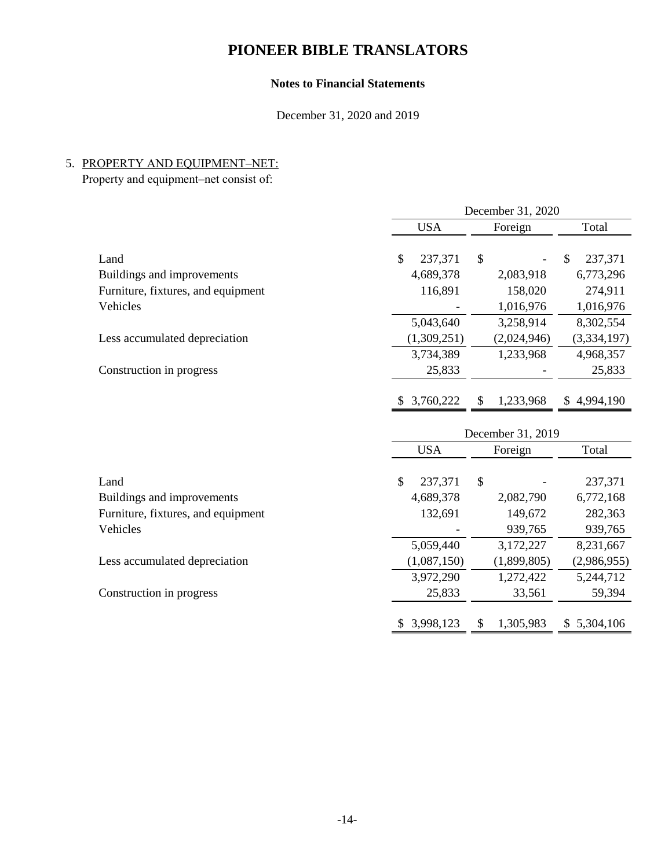## **Notes to Financial Statements**

December 31, 2020 and 2019

## 5. PROPERTY AND EQUIPMENT–NET:

Property and equipment–net consist of:

|                                    | December 31, 2020 |                   |               |  |
|------------------------------------|-------------------|-------------------|---------------|--|
|                                    | <b>USA</b>        | Foreign           | Total         |  |
|                                    |                   |                   |               |  |
| Land                               | \$<br>237,371     | \$                | \$<br>237,371 |  |
| Buildings and improvements         | 4,689,378         | 2,083,918         | 6,773,296     |  |
| Furniture, fixtures, and equipment | 116,891           | 158,020           | 274,911       |  |
| Vehicles                           |                   | 1,016,976         | 1,016,976     |  |
|                                    | 5,043,640         | 3,258,914         | 8,302,554     |  |
| Less accumulated depreciation      | (1,309,251)       | (2,024,946)       | (3,334,197)   |  |
|                                    | 3,734,389         | 1,233,968         | 4,968,357     |  |
| Construction in progress           | 25,833            |                   | 25,833        |  |
|                                    | 3,760,222<br>S.   | \$<br>1,233,968   | \$4,994,190   |  |
|                                    |                   | December 31, 2019 |               |  |
|                                    | <b>USA</b>        | Foreign           | Total         |  |
| Land                               | \$<br>237,371     | \$                | 237,371       |  |

| Laliu                              | ◡<br><i>231.311</i> | ◡           | <i>L</i> JI.JII |
|------------------------------------|---------------------|-------------|-----------------|
| Buildings and improvements         | 4,689,378           | 2,082,790   | 6,772,168       |
| Furniture, fixtures, and equipment | 132,691             | 149,672     | 282,363         |
| Vehicles                           |                     | 939,765     | 939,765         |
|                                    | 5,059,440           | 3,172,227   | 8,231,667       |
| Less accumulated depreciation      | (1,087,150)         | (1,899,805) | (2,986,955)     |
|                                    | 3,972,290           | 1,272,422   | 5,244,712       |
| Construction in progress           | 25,833              | 33,561      | 59,394          |
|                                    |                     |             |                 |
|                                    | 3,998,123<br>S.     | 1,305,983   | \$5,304,106     |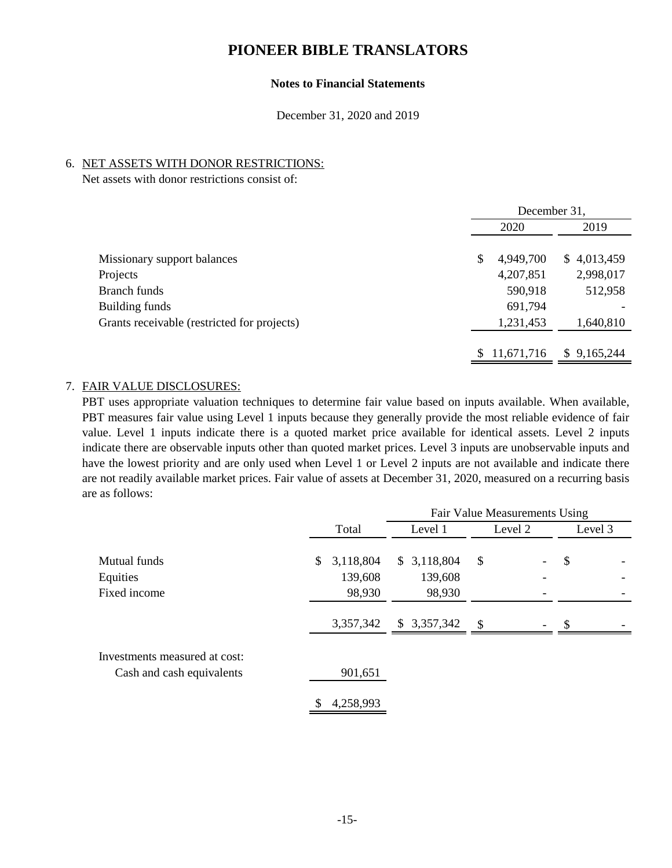### **Notes to Financial Statements**

December 31, 2020 and 2019

### 6. NET ASSETS WITH DONOR RESTRICTIONS:

Net assets with donor restrictions consist of:

|                                             | December 31, |            |             |  |
|---------------------------------------------|--------------|------------|-------------|--|
|                                             |              | 2020       | 2019        |  |
|                                             |              |            |             |  |
| Missionary support balances                 | S            | 4,949,700  | \$4,013,459 |  |
| Projects                                    |              | 4,207,851  | 2,998,017   |  |
| Branch funds                                |              | 590,918    | 512,958     |  |
| Building funds                              |              | 691,794    |             |  |
| Grants receivable (restricted for projects) |              | 1,231,453  | 1,640,810   |  |
|                                             |              |            |             |  |
|                                             | S.           | 11,671,716 | \$9,165,244 |  |

## 7. FAIR VALUE DISCLOSURES:

PBT uses appropriate valuation techniques to determine fair value based on inputs available. When available, PBT measures fair value using Level 1 inputs because they generally provide the most reliable evidence of fair value. Level 1 inputs indicate there is a quoted market price available for identical assets. Level 2 inputs indicate there are observable inputs other than quoted market prices. Level 3 inputs are unobservable inputs and have the lowest priority and are only used when Level 1 or Level 2 inputs are not available and indicate there are not readily available market prices. Fair value of assets at December 31, 2020, measured on a recurring basis are as follows:

|                                                            |                                      | Fair Value Measurements Using        |               |               |  |  |
|------------------------------------------------------------|--------------------------------------|--------------------------------------|---------------|---------------|--|--|
|                                                            | Total                                | Level 1                              | Level 2       | Level 3       |  |  |
| <b>Mutual funds</b><br>Equities<br>Fixed income            | 3,118,804<br>\$<br>139,608<br>98,930 | 3,118,804<br>\$<br>139,608<br>98,930 | \$            | \$            |  |  |
|                                                            | 3,357,342                            | \$3,357,342                          | $\mathcal{S}$ | <sup>\$</sup> |  |  |
| Investments measured at cost:<br>Cash and cash equivalents | 901,651                              |                                      |               |               |  |  |
|                                                            | 4,258,993                            |                                      |               |               |  |  |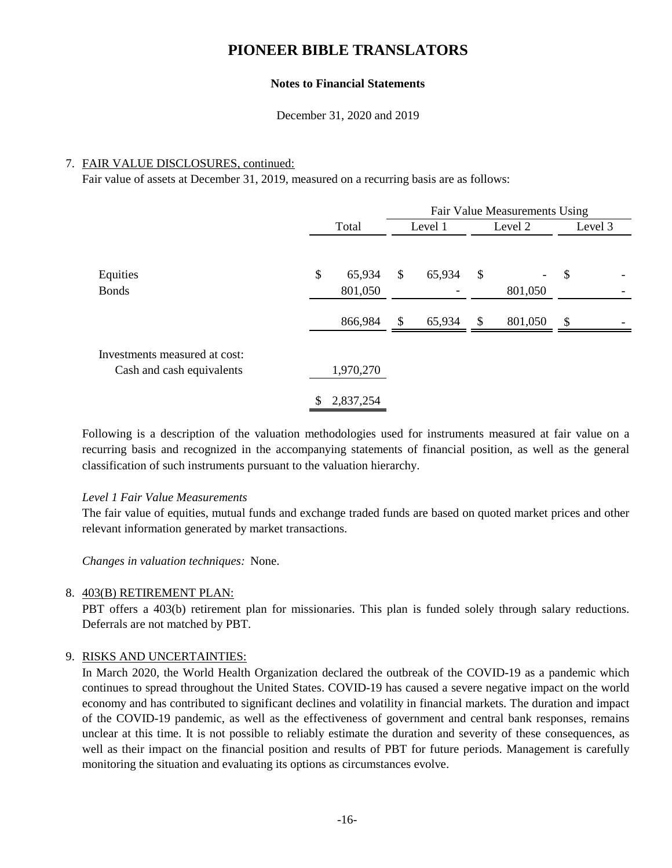### **Notes to Financial Statements**

December 31, 2020 and 2019

### 7. FAIR VALUE DISCLOSURES, continued:

Fair value of assets at December 31, 2019, measured on a recurring basis are as follows:

|                                                            |       |           | Fair Value Measurements Using |        |               |                          |                           |  |
|------------------------------------------------------------|-------|-----------|-------------------------------|--------|---------------|--------------------------|---------------------------|--|
|                                                            | Total |           | Level 1                       |        | Level 2       |                          | Level 3                   |  |
|                                                            |       |           |                               |        |               |                          |                           |  |
| Equities                                                   | \$    | 65,934    | \$                            | 65,934 | \$            | $\overline{\phantom{a}}$ | $\boldsymbol{\mathsf{S}}$ |  |
| <b>Bonds</b>                                               |       | 801,050   |                               |        |               | 801,050                  |                           |  |
|                                                            |       | 866,984   | $\mathcal{S}$                 | 65,934 | $\frac{1}{2}$ | 801,050                  | $\mathcal{S}$             |  |
| Investments measured at cost:<br>Cash and cash equivalents |       | 1,970,270 |                               |        |               |                          |                           |  |
|                                                            |       | 2,837,254 |                               |        |               |                          |                           |  |

Following is a description of the valuation methodologies used for instruments measured at fair value on a recurring basis and recognized in the accompanying statements of financial position, as well as the general classification of such instruments pursuant to the valuation hierarchy.

#### *Level 1 Fair Value Measurements*

The fair value of equities, mutual funds and exchange traded funds are based on quoted market prices and other relevant information generated by market transactions.

*Changes in valuation techniques:* None.

## 8. 403(B) RETIREMENT PLAN:

PBT offers a 403(b) retirement plan for missionaries. This plan is funded solely through salary reductions. Deferrals are not matched by PBT.

## 9. RISKS AND UNCERTAINTIES:

In March 2020, the World Health Organization declared the outbreak of the COVID-19 as a pandemic which continues to spread throughout the United States. COVID-19 has caused a severe negative impact on the world economy and has contributed to significant declines and volatility in financial markets. The duration and impact of the COVID-19 pandemic, as well as the effectiveness of government and central bank responses, remains unclear at this time. It is not possible to reliably estimate the duration and severity of these consequences, as well as their impact on the financial position and results of PBT for future periods. Management is carefully monitoring the situation and evaluating its options as circumstances evolve.